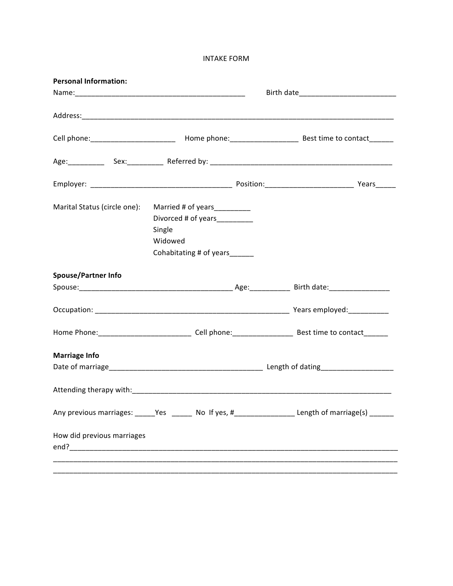**INTAKE FORM** 

| Marital Status (circle one): | Married # of years__________<br>Divorced # of years________<br>Single<br>Widowed<br>Cohabitating # of years_____ |                                                                                                 |
|------------------------------|------------------------------------------------------------------------------------------------------------------|-------------------------------------------------------------------------------------------------|
| <b>Spouse/Partner Info</b>   |                                                                                                                  |                                                                                                 |
|                              |                                                                                                                  |                                                                                                 |
|                              |                                                                                                                  |                                                                                                 |
|                              |                                                                                                                  |                                                                                                 |
| <b>Marriage Info</b>         |                                                                                                                  |                                                                                                 |
|                              |                                                                                                                  |                                                                                                 |
|                              |                                                                                                                  |                                                                                                 |
|                              |                                                                                                                  | Any previous marriages: _____Yes _____ No If yes, #________________Length of marriage(s) ______ |
| How did previous marriages   |                                                                                                                  |                                                                                                 |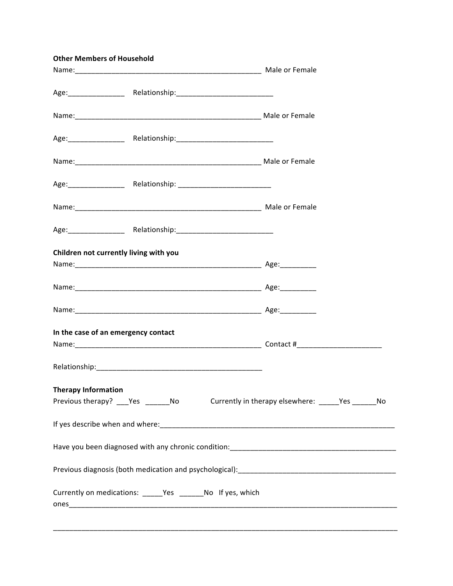|                            | <b>Other Members of Household</b>                             |                                                                                     |
|----------------------------|---------------------------------------------------------------|-------------------------------------------------------------------------------------|
|                            |                                                               |                                                                                     |
|                            |                                                               |                                                                                     |
|                            |                                                               |                                                                                     |
|                            |                                                               |                                                                                     |
|                            |                                                               |                                                                                     |
|                            |                                                               |                                                                                     |
|                            |                                                               |                                                                                     |
|                            |                                                               |                                                                                     |
|                            | Children not currently living with you                        |                                                                                     |
|                            |                                                               |                                                                                     |
|                            |                                                               |                                                                                     |
|                            | In the case of an emergency contact                           |                                                                                     |
|                            |                                                               |                                                                                     |
| <b>Therapy Information</b> |                                                               |                                                                                     |
|                            |                                                               | Previous therapy? ___Yes ______No Currently in therapy elsewhere: _____Yes ______No |
|                            |                                                               |                                                                                     |
|                            |                                                               |                                                                                     |
|                            |                                                               |                                                                                     |
|                            | Currently on medications: ______Yes _________No If yes, which |                                                                                     |
|                            |                                                               |                                                                                     |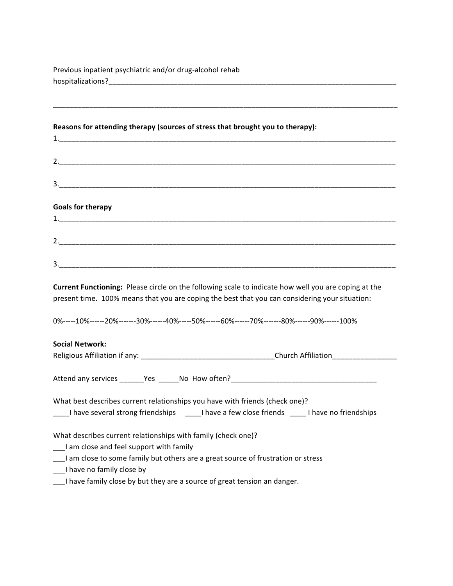Previous inpatient psychiatric and/or drug-alcohol rehab hospitalizations?\_\_\_\_\_\_\_\_\_\_\_\_\_\_\_\_\_\_\_\_\_\_\_\_\_\_\_\_\_\_\_\_\_\_\_\_\_\_\_\_\_\_\_\_\_\_\_\_\_\_\_\_\_\_\_\_\_\_\_\_\_\_\_\_\_\_\_\_\_\_\_

| Reasons for attending therapy (sources of stress that brought you to therapy): |  |
|--------------------------------------------------------------------------------|--|
|                                                                                |  |

1.  $\blacksquare$ 

 $3.$ 

| ∽<br><u>.</u> |  |  |  |
|---------------|--|--|--|
|               |  |  |  |

\_\_\_\_\_\_\_\_\_\_\_\_\_\_\_\_\_\_\_\_\_\_\_\_\_\_\_\_\_\_\_\_\_\_\_\_\_\_\_\_\_\_\_\_\_\_\_\_\_\_\_\_\_\_\_\_\_\_\_\_\_\_\_\_\_\_\_\_\_\_\_\_\_\_\_\_\_\_\_\_\_\_\_\_\_

# **Goals for therapy**

| <b>.</b>      | ________ |
|---------------|----------|
|               |          |
|               |          |
| ∽<br>ـ ـ      |          |
|               |          |
|               |          |
| ⌒<br><u>.</u> |          |

**Current Functioning:** Please circle on the following scale to indicate how well you are coping at the present time. 100% means that you are coping the best that you can considering your situation:

0%-----10%------20%-------30%------40%-----50%------60%------70%-------80%------90%------100%

### **Social)Network:**

| Religious Affiliation if any: | <b>Church Affiliation</b> |
|-------------------------------|---------------------------|
|                               |                           |

Attend'any'services \_\_\_\_\_\_Yes''\_\_\_\_\_No''How'often?\_\_\_\_\_\_\_\_\_\_\_\_\_\_\_\_\_\_\_\_\_\_\_\_\_\_\_\_\_\_\_\_\_\_\_\_

What best describes current relationships you have with friends (check one)?

I'll have several strong friendships''''''''' I have a few close friends'''''''''' I have no friendships

What describes current relationships with family (check one)?

\_\_\_I am close and feel support with family

\_\_\_I'am'close'to'some'family'but'others'are'a'great'source'of'frustration'or'stress

\_\_\_I have no family close by

\_\_\_I'have'family'close'by'but'they'are'a'source'of'great'tension'an'danger.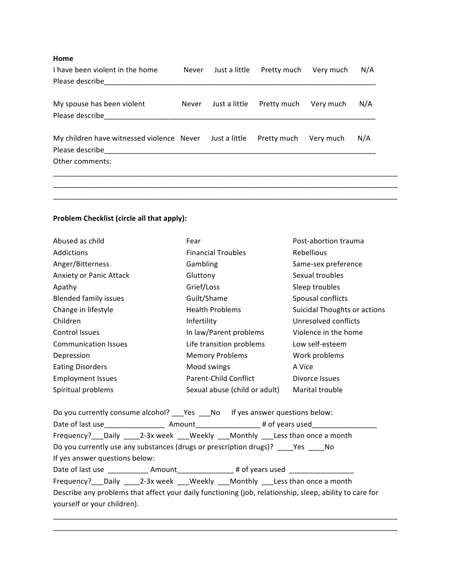## **Home**

| I have been violent in the home                         | Never | Just a little | Pretty much | Very much | N/A |
|---------------------------------------------------------|-------|---------------|-------------|-----------|-----|
| Please describe                                         |       |               |             |           |     |
|                                                         |       |               |             |           |     |
| My spouse has been violent                              | Never | Just a little | Pretty much | Very much | N/A |
| Please describe                                         |       |               |             |           |     |
|                                                         |       |               |             |           |     |
| My children have witnessed violence Never Just a little |       |               | Pretty much | Very much | N/A |
| Please describe                                         |       |               |             |           |     |
| Other comments:                                         |       |               |             |           |     |
|                                                         |       |               |             |           |     |
|                                                         |       |               |             |           |     |
|                                                         |       |               |             |           |     |

\_\_\_\_\_\_\_\_\_\_\_\_\_\_\_\_\_\_\_\_\_\_\_\_\_\_\_\_\_\_\_\_\_\_\_\_\_\_\_\_\_\_\_\_\_\_\_\_\_\_\_\_\_\_\_\_\_\_\_\_\_\_\_\_\_\_\_\_\_\_\_\_\_\_\_\_\_\_\_\_\_\_\_\_\_

# Problem Checklist (circle all that apply):

| Abused as child              | Fear                          | Post-abortion trauma         |
|------------------------------|-------------------------------|------------------------------|
| Addictions                   | <b>Financial Troubles</b>     | Rebellious                   |
| Anger/Bitterness             | Gambling                      | Same-sex preference          |
| Anxiety or Panic Attack      | Gluttony                      | Sexual troubles              |
| Apathy                       | Grief/Loss                    | Sleep troubles               |
| <b>Blended family issues</b> | Guilt/Shame                   | Spousal conflicts            |
| Change in lifestyle          | <b>Health Problems</b>        | Suicidal Thoughts or actions |
| Children                     | Infertility                   | Unresolved conflicts         |
| Control Issues               | In law/Parent problems        | Violence in the home         |
| <b>Communication Issues</b>  | Life transition problems      | Low self-esteem              |
| Depression                   | <b>Memory Problems</b>        | Work problems                |
| <b>Eating Disorders</b>      | Mood swings                   | A Vice                       |
| <b>Employment Issues</b>     | Parent-Child Conflict         | Divorce Issues               |
| Spiritual problems           | Sexual abuse (child or adult) | Marital trouble              |

|                                | Do you currently consume alcohol? Yes No If yes answer questions below:                                   |  |
|--------------------------------|-----------------------------------------------------------------------------------------------------------|--|
|                                | Date of last use__________________________Amount________________________# of years used__________________ |  |
|                                | Frequency? Daily 2-3x week Weekly Monthly Less than once a month                                          |  |
|                                | Do you currently use any substances (drugs or prescription drugs)? Yes No                                 |  |
| If yes answer questions below: |                                                                                                           |  |
|                                |                                                                                                           |  |
|                                | Frequency? Daily 2-3x week Weekly Monthly Less than once a month                                          |  |
|                                | Describe any problems that affect your daily functioning (job, relationship, sleep, ability to care for   |  |
| yourself or your children).    |                                                                                                           |  |
|                                |                                                                                                           |  |

\_\_\_\_\_\_\_\_\_\_\_\_\_\_\_\_\_\_\_\_\_\_\_\_\_\_\_\_\_\_\_\_\_\_\_\_\_\_\_\_\_\_\_\_\_\_\_\_\_\_\_\_\_\_\_\_\_\_\_\_\_\_\_\_\_\_\_\_\_\_\_\_\_\_\_\_\_\_\_\_\_\_\_\_\_